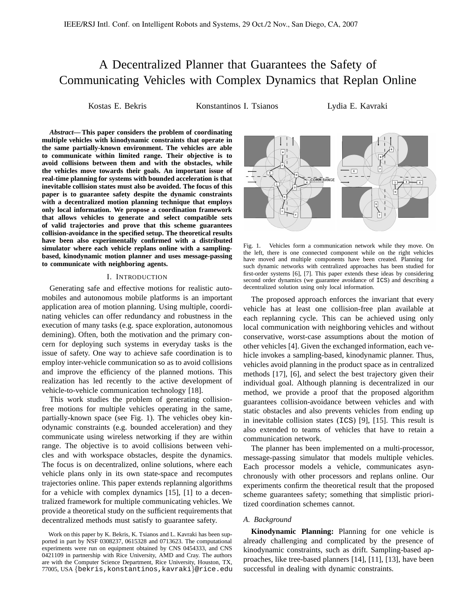# A Decentralized Planner that Guarantees the Safety of Communicating Vehicles with Complex Dynamics that Replan Online

Kostas E. Bekris **Konstantinos I. Tsianos** Lydia E. Kavraki

*Abstract***— This paper considers the problem of coordinating multiple vehicles with kinodynamic constraints that operate in the same partially-known environment. The vehicles are able to communicate within limited range. Their objective is to avoid collisions between them and with the obstacles, while the vehicles move towards their goals. An important issue of real-time planning for systems with bounded acceleration is that inevitable collision states must also be avoided. The focus of this paper is to guarantee safety despite the dynamic constraints with a decentralized motion planning technique that employs only local information. We propose a coordination framework that allows vehicles to generate and select compatible sets of valid trajectories and prove that this scheme guarantees collision-avoidance in the specified setup. The theoretical results have been also experimentally confirmed with a distributed simulator where each vehicle replans online with a samplingbased, kinodynamic motion planner and uses message-passing to communicate with neighboring agents.**

## I. INTRODUCTION

Generating safe and effective motions for realistic automobiles and autonomous mobile platforms is an important application area of motion planning. Using multiple, coordinating vehicles can offer redundancy and robustness in the execution of many tasks (e.g. space exploration, autonomous demining). Often, both the motivation and the primary concern for deploying such systems in everyday tasks is the issue of safety. One way to achieve safe coordination is to employ inter-vehicle communication so as to avoid collisions and improve the efficiency of the planned motions. This realization has led recently to the active development of vehicle-to-vehicle communication technology [18].

This work studies the problem of generating collisionfree motions for multiple vehicles operating in the same, partially-known space (see Fig. 1). The vehicles obey kinodynamic constraints (e.g. bounded acceleration) and they communicate using wireless networking if they are within range. The objective is to avoid collisions between vehicles and with workspace obstacles, despite the dynamics. The focus is on decentralized, online solutions, where each vehicle plans only in its own state-space and recomputes trajectories online. This paper extends replanning algorithms for a vehicle with complex dynamics [15], [1] to a decentralized framework for multiple communicating vehicles. We provide a theoretical study on the sufficient requirements that decentralized methods must satisfy to guarantee safety.



Fig. 1. Vehicles form a communication network while they move. On the left, there is one connected component while on the right vehicles have moved and multiple components have been created. Planning for such dynamic networks with centralized approaches has been studied for first-order systems [6], [7]. This paper extends these ideas by considering second order dynamics (we guarantee avoidance of ICS) and describing a decentralized solution using only local information.

The proposed approach enforces the invariant that every vehicle has at least one collision-free plan available at each replanning cycle. This can be achieved using only local communication with neighboring vehicles and without conservative, worst-case assumptions about the motion of other vehicles [4]. Given the exchanged information, each vehicle invokes a sampling-based, kinodynamic planner. Thus, vehicles avoid planning in the product space as in centralized methods [17], [6], and select the best trajectory given their individual goal. Although planning is decentralized in our method, we provide a proof that the proposed algorithm guarantees collision-avoidance between vehicles and with static obstacles and also prevents vehicles from ending up in inevitable collision states (ICS) [9], [15]. This result is also extended to teams of vehicles that have to retain a communication network.

The planner has been implemented on a multi-processor, message-passing simulator that models multiple vehicles. Each processor models a vehicle, communicates asynchronously with other processors and replans online. Our experiments confirm the theoretical result that the proposed scheme guarantees safety; something that simplistic prioritized coordination schemes cannot.

## *A. Background*

**Kinodynamic Planning:** Planning for one vehicle is already challenging and complicated by the presence of kinodynamic constraints, such as drift. Sampling-based approaches, like tree-based planners [14], [11], [13], have been successful in dealing with dynamic constraints.

Work on this paper by K. Bekris, K. Tsianos and L. Kavraki has been supported in part by NSF 0308237, 0615328 and 0713623. The computational experiments were run on equipment obtained by CNS 0454333, and CNS 0421109 in partnership with Rice University, AMD and Cray. The authors are with the Computer Science Department, Rice University, Houston, TX, 77005, USA {bekris,konstantinos,kavraki}@rice.edu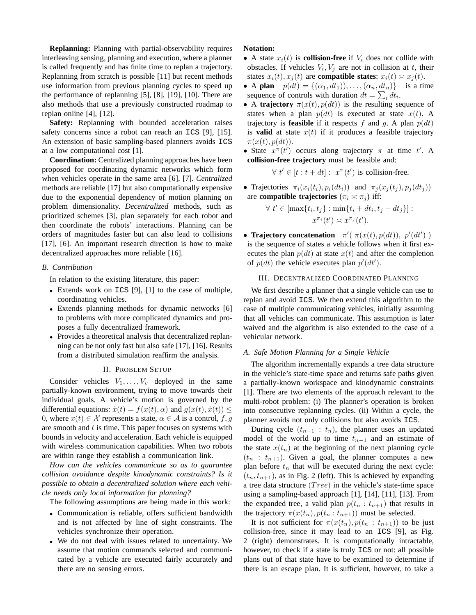**Replanning:** Planning with partial-observability requires interleaving sensing, planning and execution, where a planner is called frequently and has finite time to replan a trajectory. Replanning from scratch is possible [11] but recent methods use information from previous planning cycles to speed up the performance of replanning [5], [8], [19], [10]. There are also methods that use a previously constructed roadmap to replan online [4], [12].

**Safety:** Replanning with bounded acceleration raises safety concerns since a robot can reach an ICS [9], [15]. An extension of basic sampling-based planners avoids ICS at a low computational cost [1].

**Coordination:** Centralized planning approaches have been proposed for coordinating dynamic networks which form when vehicles operate in the same area [6], [7]. *Centralized* methods are reliable [17] but also computationally expensive due to the exponential dependency of motion planning on problem dimensionality. *Decentralized* methods, such as prioritized schemes [3], plan separately for each robot and then coordinate the robots' interactions. Planning can be orders of magnitudes faster but can also lead to collisions [17], [6]. An important research direction is how to make decentralized approaches more reliable [16].

# *B. Contribution*

In relation to the existing literature, this paper:

- Extends work on ICS [9], [1] to the case of multiple, coordinating vehicles.
- Extends planning methods for dynamic networks [6] to problems with more complicated dynamics and proposes a fully decentralized framework.
- Provides a theoretical analysis that decentralized replanning can be not only fast but also safe [17], [16]. Results from a distributed simulation reaffirm the analysis.

## II. PROBLEM SETUP

Consider vehicles  $V_1, \ldots, V_v$  deployed in the same partially-known environment, trying to move towards their individual goals. A vehicle's motion is governed by the differential equations:  $\dot{x}(t) = f(x(t), \alpha)$  and  $g(x(t), \dot{x}(t)) \leq$ 0, where  $x(t) \in \mathcal{X}$  represents a state,  $\alpha \in \mathcal{A}$  is a control, f, g are smooth and  $t$  is time. This paper focuses on systems with bounds in velocity and acceleration. Each vehicle is equipped with wireless communication capabilities. When two robots are within range they establish a communication link.

*How can the vehicles communicate so as to guarantee collision avoidance despite kinodynamic constraints? Is it possible to obtain a decentralized solution where each vehicle needs only local information for planning?*

The following assumptions are being made in this work:

- Communication is reliable, offers sufficient bandwidth and is not affected by line of sight constraints. The vehicles synchronize their operation.
- We do not deal with issues related to uncertainty. We assume that motion commands selected and communicated by a vehicle are executed fairly accurately and there are no sensing errors.

#### **Notation:**

- A state  $x_i(t)$  is **collision-free** if  $V_i$  does not collide with obstacles. If vehicles  $V_i$ ,  $V_j$  are not in collision at t, their states  $x_i(t), x_j(t)$  are **compatible states**:  $x_i(t) \approx x_j(t)$ .
- A **plan**  $p(dt) = \{(\alpha_1, dt_1), \dots, (\alpha_n, dt_n)\}$  is a time sequence of controls with duration  $dt = \sum_i dt_i$ .
- A **trajectory**  $\pi(x(t), p(dt))$  is the resulting sequence of states when a plan  $p(dt)$  is executed at state  $x(t)$ . A trajectory is **feasible** if it respects f and g. A plan  $p(dt)$ is **valid** at state  $x(t)$  if it produces a feasible trajectory  $\pi(x(t), p(dt)).$
- State  $x^{\pi}(t')$  occurs along trajectory  $\pi$  at time t'. A **collision-free trajectory** must be feasible and:

$$
\forall t' \in [t : t + dt] : x^{\pi}(t') \text{ is collision-free.}
$$

• Trajectories  $\pi_i(x_i(t_i), p_i(dt_i))$  and  $\pi_j(x_j(t_j), p_j(dt_j))$ are **compatible trajectories** ( $\pi_i \approx \pi_j$ ) iff:

$$
\forall t' \in [\max\{t_i, t_j\} : \min\{t_i + dt_i, t_j + dt_j\}]:
$$
  

$$
x^{\pi_i}(t') \approx x^{\pi_j}(t').
$$

• **Trajectory concatenation**  $\pi'(\pi(x(t), p(dt)), p'(dt'))$ is the sequence of states a vehicle follows when it first executes the plan  $p(dt)$  at state  $x(t)$  and after the completion of  $p(dt)$  the vehicle executes plan  $p'(dt')$ .

### III. DECENTRALIZED COORDINATED PLANNING

We first describe a planner that a single vehicle can use to replan and avoid ICS. We then extend this algorithm to the case of multiple communicating vehicles, initially assuming that all vehicles can communicate. This assumption is later waived and the algorithm is also extended to the case of a vehicular network.

## *A. Safe Motion Planning for a Single Vehicle*

The algorithm incrementally expands a tree data structure in the vehicle's state-time space and returns safe paths given a partially-known workspace and kinodynamic constraints [1]. There are two elements of the approach relevant to the multi-robot problem: (i) The planner's operation is broken into consecutive replanning cycles. (ii) Within a cycle, the planner avoids not only collisions but also avoids ICS.

During cycle  $(t_{n-1} : t_n)$ , the planner uses an updated model of the world up to time  $t_{n-1}$  and an estimate of the state  $x(t_n)$  at the beginning of the next planning cycle  $(t_n : t_{n+1})$ . Given a goal, the planner computes a new plan before  $t_n$  that will be executed during the next cycle:  $(t_n, t_{n+1})$ , as in Fig. 2 (left). This is achieved by expanding a tree data structure  $(Tree)$  in the vehicle's state-time space using a sampling-based approach [1], [14], [11], [13]. From the expanded tree, a valid plan  $p(t_n : t_{n+1})$  that results in the trajectory  $\pi(x(t_n), p(t_n : t_{n+1}))$  must be selected.

It is not sufficient for  $\pi(x(t_n), p(t_n : t_{n+1}))$  to be just collision-free, since it may lead to an ICS [9], as Fig. 2 (right) demonstrates. It is computationally intractable, however, to check if a state is truly ICS or not: all possible plans out of that state have to be examined to determine if there is an escape plan. It is sufficient, however, to take a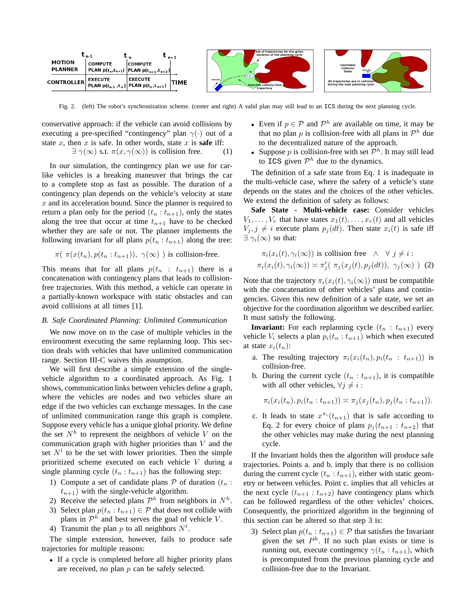

Fig. 2. (left) The robot's synchronization scheme. (center and right) A valid plan may still lead to an ICS during the next planning cycle.

conservative approach: if the vehicle can avoid collisions by executing a pre-specified "contingency" plan  $\gamma(\cdot)$  out of a state x, then x is safe. In other words, state x is **safe** iff:

$$
\exists \gamma(\infty) \text{ s.t. } \pi(x, \gamma(\infty)) \text{ is collision free.} \tag{1}
$$

In our simulation, the contingency plan we use for carlike vehicles is a breaking maneuver that brings the car to a complete stop as fast as possible. The duration of a contingency plan depends on the vehicle's velocity at state  $x$  and its acceleration bound. Since the planner is required to return a plan only for the period  $(t_n : t_{n+1})$ , only the states along the tree that occur at time  $t_{n+1}$  have to be checked whether they are safe or not. The planner implements the following invariant for all plans  $p(t_n : t_{n+1})$  along the tree:

$$
\pi(\pi(x(t_n), p(t_n : t_{n+1})), \gamma(\infty))
$$
 is collision-free.

This means that for all plans  $p(t_n : t_{n+1})$  there is a concatenation with contingency plans that leads to collisionfree trajectories. With this method, a vehicle can operate in a partially-known workspace with static obstacles and can avoid collisions at all times [1].

## *B. Safe Coordinated Planning: Unlimited Communication*

We now move on to the case of multiple vehicles in the environment executing the same replanning loop. This section deals with vehicles that have unlimited communication range. Section III-C waives this assumption.

We will first describe a simple extension of the singlevehicle algorithm to a coordinated approach. As Fig. 1 shows, communication links between vehicles define a graph, where the vehicles are nodes and two vehicles share an edge if the two vehicles can exchange messages. In the case of unlimited communication range this graph is complete. Suppose every vehicle has a unique global priority. We define the set  $N^h$  to represent the neighbors of vehicle V on the communication graph with higher priorities than  $V$  and the set  $N<sup>l</sup>$  to be the set with lower priorities. Then the simple prioritized scheme executed on each vehicle V during a single planning cycle  $(t_n : t_{n+1})$  has the following step:

- 1) Compute a set of candidate plans  $P$  of duration  $(t_n :$  $t_{n+1}$ ) with the single-vehicle algorithm.
- 2) Receive the selected plans  $\mathcal{P}^h$  from neighbors in  $N^h$ .
- 3) Select plan  $p(t_n : t_{n+1}) \in \mathcal{P}$  that does not collide with plans in  $\mathcal{P}^h$  and best serves the goal of vehicle V.
- 4) Transmit the plan p to all neighbors  $N^l$ .

The simple extension, however, fails to produce safe trajectories for multiple reasons:

• If a cycle is completed before all higher priority plans are received, no plan  $p$  can be safely selected.

- Even if  $p \in \mathcal{P}$  and  $\mathcal{P}^h$  are available on time, it may be that no plan p is collision-free with all plans in  $\mathcal{P}^h$  due to the decentralized nature of the approach.
- Suppose p is collision-free with set  $\mathcal{P}^h$ . It may still lead to ICS given  $\mathcal{P}^h$  due to the dynamics.

The definition of a safe state from Eq. 1 is inadequate in the multi-vehicle case, where the safety of a vehicle's state depends on the states and the choices of the other vehicles. We extend the definition of safety as follows:

**Safe State - Multi-vehicle case:** Consider vehicles  $V_1, \ldots, V_v$  that have states  $x_1(t), \ldots, x_v(t)$  and all vehicles  $V_j, j \neq i$  execute plans  $p_j(dt)$ . Then state  $x_i(t)$  is safe iff  $\exists \gamma_i(\infty)$  so that:

$$
\pi_i(x_i(t), \gamma_i(\infty)) \text{ is collision free } \land \forall j \neq i :
$$
  

$$
\pi_i(x_i(t), \gamma_i(\infty)) \asymp \pi'_j(\pi_j(x_j(t), p_j(dt)), \gamma_j(\infty))
$$
 (2)

Note that the trajectory  $\pi_i(x_i(t), \gamma_i(\infty))$  must be compatible with the concatenation of other vehicles' plans and contingencies. Given this new definition of a safe state, we set an objective for the coordination algorithm we described earlier. It must satisfy the following.

**Invariant:** For each replanning cycle  $(t_n : t_{n+1})$  every vehicle  $V_i$  selects a plan  $p_i(t_n : t_{n+1})$  which when executed at state  $x_i(t_n)$ :

- a. The resulting trajectory  $\pi_i(x_i(t_n), p_i(t_n : t_{n+1}))$  is collision-free.
- b. During the current cycle  $(t_n : t_{n+1})$ , it is compatible with all other vehicles,  $\forall j \neq i$ :

$$
\pi_i(x_i(t_n), p_i(t_n : t_{n+1})) \asymp \pi_j(x_j(t_n), p_j(t_n : t_{n+1})).
$$

c. It leads to state  $x^{\pi i}(t_{n+1})$  that is safe according to Eq. 2 for every choice of plans  $p_j(t_{n+1}: t_{n+2})$  that the other vehicles may make during the next planning cycle.

If the Invariant holds then the algorithm will produce safe trajectories. Points a. and b. imply that there is no collision during the current cycle  $(t_n : t_{n+1})$ , either with static geometry or between vehicles. Point c. implies that all vehicles at the next cycle  $(t_{n+1} : t_{n+2})$  have contingency plans which can be followed regardless of the other vehicles' choices. Consequently, the prioritized algorithm in the beginning of this section can be altered so that step 3 is:

3) Select plan  $p(t_n : t_{n+1}) \in \mathcal{P}$  that satisfies the Invariant given the set  $P<sup>h</sup>$ . If no such plan exists or time is running out, execute contingency  $\gamma(t_n : t_{n+1})$ , which is precomputed from the previous planning cycle and collision-free due to the Invariant.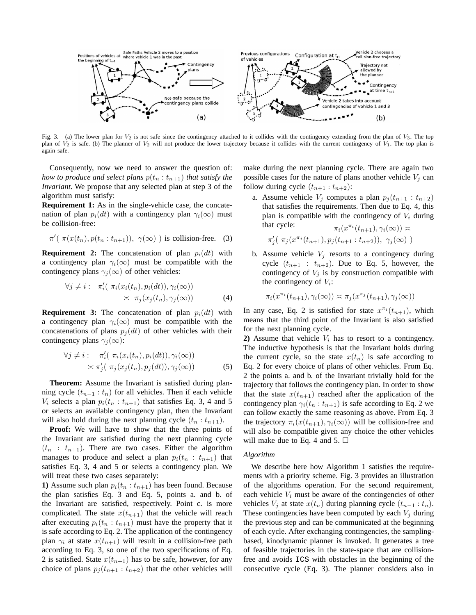

Fig. 3. (a) The lower plan for  $V_2$  is not safe since the contingency attached to it collides with the contingency extending from the plan of  $V_3$ . The top plan of  $V_2$  is safe. (b) The planner of  $V_2$  will not produce the lower trajectory because it collides with the current contingency of  $V_1$ . The top plan is again safe.

Consequently, now we need to answer the question of: *how to produce and select plans*  $p(t_n : t_{n+1})$  *that satisfy the Invariant*. We propose that any selected plan at step 3 of the algorithm must satisfy:

**Requirement 1:** As in the single-vehicle case, the concatenation of plan  $p_i(dt)$  with a contingency plan  $\gamma_i(\infty)$  must be collision-free:

$$
\pi'(\pi(x(t_n), p(t_n : t_{n+1})), \gamma(\infty))
$$
 is collision-free. (3)

**Requirement 2:** The concatenation of plan  $p_i(dt)$  with a contingency plan  $\gamma_i(\infty)$  must be compatible with the contingency plans  $\gamma_i(\infty)$  of other vehicles:

$$
\forall j \neq i: \quad \pi'_i(\ \pi_i(x_i(t_n), p_i(dt)), \gamma_i(\infty))
$$
  

$$
\asymp \ \pi_j(x_j(t_n), \gamma_j(\infty))
$$
 (4)

**Requirement 3:** The concatenation of plan  $p_i(dt)$  with a contingency plan  $\gamma_i(\infty)$  must be compatible with the concatenations of plans  $p_i(dt)$  of other vehicles with their contingency plans  $\gamma_j(\infty)$ :

$$
\forall j \neq i: \quad \pi'_i(\ \pi_i(x_i(t_n), p_i(dt)), \gamma_i(\infty))
$$

$$
\asymp \pi'_j(\ \pi_j(x_j(t_n), p_j(dt)), \gamma_j(\infty))
$$
(5)

**Theorem:** Assume the Invariant is satisfied during planning cycle  $(t_{n-1} : t_n)$  for all vehicles. Then if each vehicle  $V_i$  selects a plan  $p_i(t_n : t_{n+1})$  that satisfies Eq. 3, 4 and 5 or selects an available contingency plan, then the Invariant will also hold during the next planning cycle  $(t_n : t_{n+1})$ .

**Proof:** We will have to show that the three points of the Invariant are satisfied during the next planning cycle  $(t_n : t_{n+1})$ . There are two cases. Either the algorithm manages to produce and select a plan  $p_i(t_n : t_{n+1})$  that satisfies Eq. 3, 4 and 5 or selects a contingency plan. We will treat these two cases separately:

**1)** Assume such plan  $p_i(t_n : t_{n+1})$  has been found. Because the plan satisfies Eq. 3 and Eq. 5, points a. and b. of the Invariant are satisfied, respectively. Point c. is more complicated. The state  $x(t_{n+1})$  that the vehicle will reach after executing  $p_i(t_n : t_{n+1})$  must have the property that it is safe according to Eq. 2. The application of the contingency plan  $\gamma_i$  at state  $x(t_{n+1})$  will result in a collision-free path according to Eq. 3, so one of the two specifications of Eq. 2 is satisfied. State  $x(t_{n+1})$  has to be safe, however, for any choice of plans  $p_j(t_{n+1}: t_{n+2})$  that the other vehicles will make during the next planning cycle. There are again two possible cases for the nature of plans another vehicle  $V_i$  can follow during cycle  $(t_{n+1}: t_{n+2})$ :

a. Assume vehicle  $V_j$  computes a plan  $p_j(t_{n+1}: t_{n+2})$ that satisfies the requirements. Then due to Eq. 4, this plan is compatible with the contingency of  $V_i$  during that cycle:  $\pi_i(t_{n+1}), \gamma_i(\infty)) \asymp$ 

$$
\pi'_{j}(\pi_{j}(x^{\pi_{j}}(t_{n+1}), p_{j}(t_{n+1}: t_{n+2})), \gamma_{j}(\infty))
$$

b. Assume vehicle  $V_j$  resorts to a contingency during cycle  $(t_{n+1} : t_{n+2})$ . Due to Eq. 5, however, the contingency of  $V_i$  is by construction compatible with the contingency of  $V_i$ :

$$
\pi_i(x^{\pi_i}(t_{n+1}), \gamma_i(\infty)) \asymp \pi_j(x^{\pi_j}(t_{n+1}), \gamma_j(\infty))
$$

In any case, Eq. 2 is satisfied for state  $x^{\pi i}(t_{n+1})$ , which means that the third point of the Invariant is also satisfied for the next planning cycle.

**2)** Assume that vehicle  $V_i$  has to resort to a contingency. The inductive hypothesis is that the Invariant holds during the current cycle, so the state  $x(t_n)$  is safe according to Eq. 2 for every choice of plans of other vehicles. From Eq. 2 the points a. and b. of the Invariant trivially hold for the trajectory that follows the contingency plan. In order to show that the state  $x(t_{n+1})$  reached after the application of the contingency plan  $\gamma_i(t_n : t_{n+1})$  is safe according to Eq. 2 we can follow exactly the same reasoning as above. From Eq. 3 the trajectory  $\pi_i(x(t_{n+1}), \gamma_i(\infty))$  will be collision-free and will also be compatible given any choice the other vehicles will make due to Eq. 4 and 5.  $\Box$ 

#### *Algorithm*

We describe here how Algorithm 1 satisfies the requirements with a priority scheme. Fig. 3 provides an illustration of the algorithms operation. For the second requirement, each vehicle  $V_i$  must be aware of the contingencies of other vehicles  $V_j$  at state  $x(t_n)$  during planning cycle  $(t_{n-1} : t_n)$ . These contingencies have been computed by each  $V_i$  during the previous step and can be communicated at the beginning of each cycle. After exchanging contingencies, the samplingbased, kinodynamic planner is invoked. It generates a tree of feasible trajectories in the state-space that are collisionfree and avoids ICS with obstacles in the beginning of the consecutive cycle (Eq. 3). The planner considers also in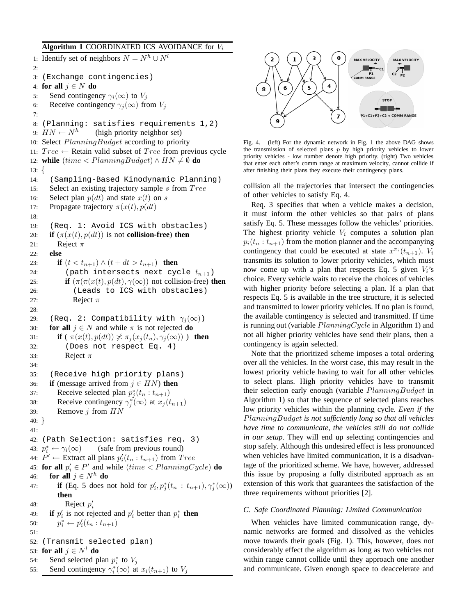# **Algorithm 1** COORDINATED ICS AVOIDANCE for  $V_i$

```
1: Identify set of neighbors N = N^h \cup N^l\mathfrak{D}3: (Exchange contingencies)
4: for all j \in N do
5: Send contingency \gamma_i(\infty) to V_i6: Receive contingency \gamma_j(\infty) from V_j7:
8: (Planning: satisfies requirements 1,2)
9: HN \leftarrow N^h(high priority neighbor set)
10: Select PlanningBudget according to priority
11: Tree \leftarrow Retain valid subset of Tree from previous cycle
12: while (time < PlanningBudget) ∧ HN ≠ ∅do
13: {
14: (Sampling-Based Kinodynamic Planning)
15: Select an existing trajectory sample s from Tree16: Select plan p(dt) and state x(t) on s
17: Propagate trajectory \pi(x(t), p(dt)18:
19: (Req. 1: Avoid ICS with obstacles)
20: if (\pi(x(t), p(dt)) is not collision-free) then
21: Reject \pi22: else
23: if (t < t_{n+1}) \wedge (t + dt > t_{n+1}) then
24: (path intersects next cycle t_{n+1})
25: if (\pi(\pi(x(t), p(dt), \gamma(\infty))) not collision-free) then
26: (Leads to ICS with obstacles)
27: Reject \pi28:
29: (Req. 2: Compatibility with \gamma_j(\infty))
30: for all j \in N and while \pi is not rejected do
31: if (\pi(x(t), p(dt)) \nless \pi_i(x_j(t_n), \gamma_i(\infty))) then
32: (Does not respect Eq. 4)
33: Reject \pi34:
35: (Receive high priority plans)
36: if (message arrived from j \in HN) then
37: Receive selected plan p_j^*(t_n : t_{n+1})38: Receive contingency \gamma_j^*(\infty) at x_j(t_{n+1})39: Remove i from HN40: }
41:
42: (Path Selection: satisfies req. 3)
43: p_i^*(safe from previous round)
44: P' \leftarrow Extract all plans p'_i(t_n : t_{n+1}) from Tree45: for all p'_i \in P' and while (time < PlanningCycle) do
46: for all j \in N^h do
47: if (Eq. 5 does not hold for p'_i, p^*_j(t_n : t_{n+1}), \gamma^*_j(\infty))then
48: Reject p'_i49: if p'_i is not rejected and p'_i better than p_i^* then
50:e_i^* \leftarrow p_i'(t_n : t_{n+1})51:
52: (Transmit selected plan)
53: for all j \in N^l do
54: Send selected plan p_i^* to V_j55: Send contingency \gamma_i^*(\infty) at x_i(t_{n+1}) to V_j
```


Fig. 4. (left) For the dynamic network in Fig. 1 the above DAG shows the transmission of selected plans  $p$  by high priority vehicles to lower priority vehicles - low number denote high priority. (right) Two vehicles that enter each other's comm range at maximum velocity, cannot collide if after finishing their plans they execute their contingency plans.

collision all the trajectories that intersect the contingencies of other vehicles to satisfy Eq. 4.

Req. 3 specifies that when a vehicle makes a decision, it must inform the other vehicles so that pairs of plans satisfy Eq. 5. These messages follow the vehicles' priorities. The highest priority vehicle  $V_i$  computes a solution plan  $p_i(t_n : t_{n+1})$  from the motion planner and the accompanying contingency that could be executed at state  $x^{\pi_i}(t_{n+1})$ .  $V_i$ transmits its solution to lower priority vehicles, which must now come up with a plan that respects Eq. 5 given  $V_i$ 's choice. Every vehicle waits to receive the choices of vehicles with higher priority before selecting a plan. If a plan that respects Eq. 5 is available in the tree structure, it is selected and transmitted to lower priority vehicles. If no plan is found, the available contingency is selected and transmitted. If time is running out (variable  $PlanningCycle$  in Algorithm 1) and not all higher priority vehicles have send their plans, then a contingency is again selected.

Note that the prioritized scheme imposes a total ordering over all the vehicles. In the worst case, this may result in the lowest priority vehicle having to wait for all other vehicles to select plans. High priority vehicles have to transmit their selection early enough (variable *PlanningBudget* in Algorithm 1) so that the sequence of selected plans reaches low priority vehicles within the planning cycle. *Even if the* PlanningBudget *is not sufficiently long so that all vehicles have time to communicate, the vehicles still do not collide in our setup*. They will end up selecting contingencies and stop safely. Although this undesired effect is less pronounced when vehicles have limited communication, it is a disadvantage of the prioritized scheme. We have, however, addressed this issue by proposing a fully distributed approach as an extension of this work that guarantees the satisfaction of the three requirements without priorities [2].

## *C. Safe Coordinated Planning: Limited Communication*

When vehicles have limited communication range, dynamic networks are formed and dissolved as the vehicles move towards their goals (Fig. 1). This, however, does not considerably effect the algorithm as long as two vehicles not within range cannot collide until they approach one another and communicate. Given enough space to deaccelerate and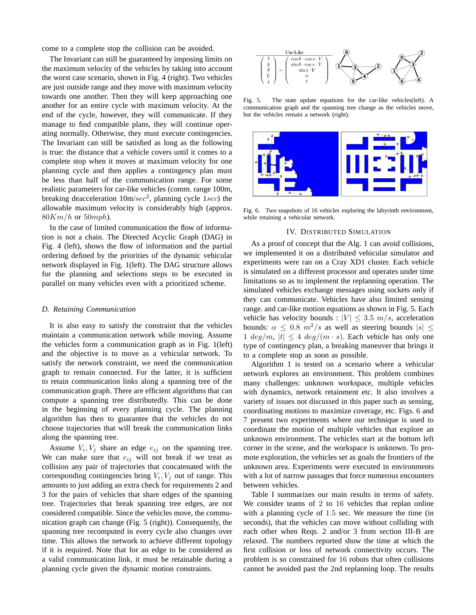come to a complete stop the collision can be avoided.

The Invariant can still be guaranteed by imposing limits on the maximum velocity of the vehicles by taking into account the worst case scenario, shown in Fig. 4 (right). Two vehicles are just outside range and they move with maximum velocity towards one another. Then they will keep approaching one another for an entire cycle with maximum velocity. At the end of the cycle, however, they will communicate. If they manage to find compatible plans, they will continue operating normally. Otherwise, they must execute contingencies. The Invariant can still be satisfied as long as the following is true: the distance that a vehicle covers until it comes to a complete stop when it moves at maximum velocity for one planning cycle and then applies a contingency plan must be less than half of the communication range. For some realistic parameters for car-like vehicles (comm. range 100m, breaking deacceleration  $10m/sec^2$ , planning cycle  $1sec$ ) the allowable maximum velocity is considerably high (approx.  $80Km/h$  or  $50mph$ ).

In the case of limited communication the flow of information is not a chain. The Directed Acyclic Graph (DAG) in Fig. 4 (left), shows the flow of information and the partial ordering defined by the priorities of the dynamic vehicular network displayed in Fig. 1(left). The DAG structure allows for the planning and selections steps to be executed in parallel on many vehicles even with a prioritized scheme.

#### *D. Retaining Communication*

It is also easy to satisfy the constraint that the vehicles maintain a communication network while moving. Assume the vehicles form a communication graph as in Fig. 1(left) and the objective is to move as a vehicular network. To satisfy the network constraint, we need the communication graph to remain connected. For the latter, it is sufficient to retain communication links along a spanning tree of the communication graph. There are efficient algorithms that can compute a spanning tree distributedly. This can be done in the beginning of every planning cycle. The planning algorithm has then to guarantee that the vehicles do not choose trajectories that will break the communication links along the spanning tree.

Assume  $V_i$ ,  $V_j$  share an edge  $e_{ij}$  on the spanning tree. We can make sure that  $e_{ij}$  will not break if we treat as collision any pair of trajectories that concatenated with the corresponding contingencies bring  $V_i$ ,  $V_j$  out of range. This amounts to just adding an extra check for requirements 2 and 3 for the pairs of vehicles that share edges of the spanning tree. Trajectories that break spanning tree edges, are not considered compatible. Since the vehicles move, the communication graph can change (Fig. 5 (right)). Consequently, the spanning tree recomputed in every cycle also changes over time. This allows the network to achieve different topology if it is required. Note that for an edge to be considered as a valid communication link, it must be retainable during a planning cycle given the dynamic motion constraints.



Fig. 5. The state update equations for the car-like vehicles(left). A communication graph and the spanning tree change as the vehicles move, but the vehicles remain a network (right).



Fig. 6. Two snapshots of 16 vehicles exploring the labyrinth environment, while retaining a vehicular network.

## IV. DISTRIBUTED SIMULATION

As a proof of concept that the Alg. 1 can avoid collisions, we implemented it on a distributed vehicular simulator and experiments were ran on a Cray XD1 cluster. Each vehicle is simulated on a different processor and operates under time limitations so as to implement the replanning operation. The simulated vehicles exchange messages using sockets only if they can communicate. Vehicles have also limited sensing range. and car-like motion equations as shown in Fig. 5. Each vehicle has velocity bounds :  $|V| \leq 3.5 \ m/s$ , acceleration bounds:  $\alpha \leq 0.8 \frac{m^2}{s}$  as well as steering bounds  $|s| \leq$ 1 deg/m,  $|t| \leq 4$  deg/(m  $\cdot$  s). Each vehicle has only one type of contingency plan, a breaking maneuver that brings it to a complete stop as soon as possible.

Algorithm 1 is tested on a scenario where a vehicular network explores an environment. This problem combines many challenges: unknown workspace, multiple vehicles with dynamics, network retainment etc. It also involves a variety of issues not discussed in this paper such as sensing, coordinating motions to maximize coverage, etc. Figs. 6 and 7 present two experiments where our technique is used to coordinate the motion of multiple vehicles that explore an unknown environment. The vehicles start at the bottom left corner in the scene, and the workspace is unknown. To promote exploration, the vehicles set as goals the frontiers of the unknown area. Experiments were executed in environments with a lot of narrow passages that force numerous encounters between vehicles.

Table I summarizes our main results in terms of safety. We consider teams of 2 to 16 vehicles that replan online with a planning cycle of 1.5 sec. We measure the time (in seconds), that the vehicles can move without colliding with each other when Reqs. 2 and/or 3 from section III-B are relaxed. The numbers reported show the time at which the first collision or loss of network connectivity occurs. The problem is so constrained for 16 robots that often collisions cannot be avoided past the 2nd replanning loop. The results